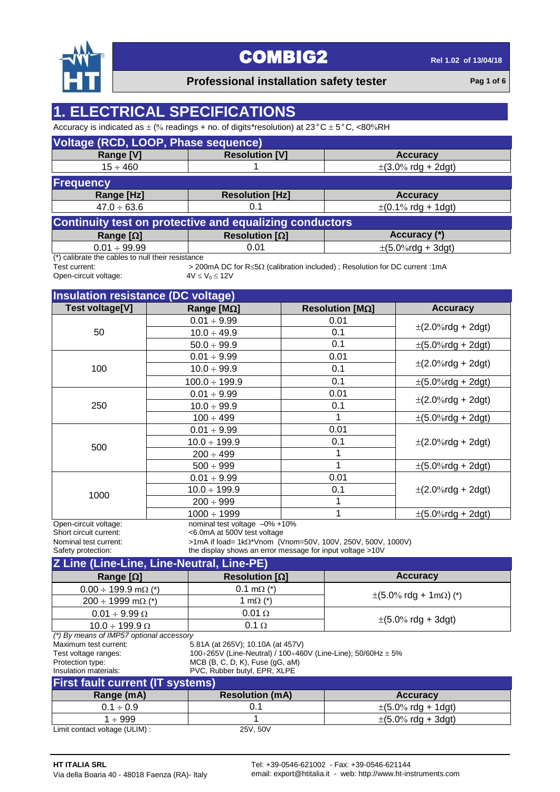

#### **Professional installation safety tester Pag 1** of 6

### **1. ELECTRICAL SPECIFICATIONS**

Accuracy is indicated as  $\pm$  (% readings + no. of digits\*resolution) at 23°C  $\pm$  5°C, <80%RH

| Voltage (RCD, LOOP, Phase sequence)                   |                                                         |                                          |  |  |  |  |  |  |  |  |
|-------------------------------------------------------|---------------------------------------------------------|------------------------------------------|--|--|--|--|--|--|--|--|
| Range [V]                                             | <b>Resolution [V]</b><br><b>Accuracy</b>                |                                          |  |  |  |  |  |  |  |  |
| $15 \div 460$                                         | $\pm(3.0\% \text{ rdg} + 2\text{dg}t)$                  |                                          |  |  |  |  |  |  |  |  |
| <b>Frequency</b>                                      |                                                         |                                          |  |  |  |  |  |  |  |  |
| Range [Hz]                                            | <b>Resolution [Hz]</b><br><b>Accuracy</b>               |                                          |  |  |  |  |  |  |  |  |
| $47.0 \div 63.6$                                      | 0.1                                                     | $\pm (0.1\% \text{ rdg} + 1 \text{dg}t)$ |  |  |  |  |  |  |  |  |
|                                                       | Continuity test on protective and equalizing conductors |                                          |  |  |  |  |  |  |  |  |
| Range $[\Omega]$                                      | Resolution [ $\Omega$ ]                                 | Accuracy (*)                             |  |  |  |  |  |  |  |  |
| $\pm (5.0\%$ rdg + 3dgt)<br>$0.01 \div 99.99$<br>0.01 |                                                         |                                          |  |  |  |  |  |  |  |  |
| $(*)$ colibrate the cobles to pull their resistance   |                                                         |                                          |  |  |  |  |  |  |  |  |

(\*) calibrate the cables to null their resistance<br>Test current:  $>20$ 

Open-circuit voltage:

> 200mA DC for R≤5Ω (calibration included) ; Resolution for DC current :1mA  $4V ≤ V<sub>0</sub> ≤ 12V$ 

| <b>Insulation resistance (DC voltage)</b>                                                      |                                                              |                                                                                                                         |                                         |
|------------------------------------------------------------------------------------------------|--------------------------------------------------------------|-------------------------------------------------------------------------------------------------------------------------|-----------------------------------------|
| Test voltage[V]                                                                                | Range [ $M\Omega$ ]                                          | Resolution [ $M\Omega$ ]                                                                                                | <b>Accuracy</b>                         |
|                                                                                                | $0.01 \div 9.99$                                             | 0.01                                                                                                                    |                                         |
| 50                                                                                             | $10.0 \div 49.9$                                             | 0.1                                                                                                                     | $\pm (2.0\% \text{rdg} + 2 \text{dgt})$ |
|                                                                                                | $50.0 \div 99.9$                                             | 0.1                                                                                                                     | $\pm (5.0\%$ rdg + 2dgt)                |
|                                                                                                | $0.01 \div 9.99$                                             | 0.01                                                                                                                    |                                         |
| 100                                                                                            | $10.0 \div 99.9$                                             | 0.1                                                                                                                     | $\pm (2.0\% \text{rdg} + 2 \text{dgt})$ |
|                                                                                                | $100.0 \div 199.9$                                           | 0.1                                                                                                                     | $\pm (5.0\% \text{rdg} + 2 \text{dgt})$ |
|                                                                                                | $0.01 \div 9.99$                                             | 0.01                                                                                                                    |                                         |
| 250                                                                                            | $10.0 \div 99.9$                                             | 0.1                                                                                                                     | $\pm (2.0\% \text{rdg} + 2 \text{dgt})$ |
|                                                                                                | $100 \div 499$                                               | 1                                                                                                                       | $\pm (5.0\%$ rdg + 2dgt)                |
|                                                                                                | $0.01 \div 9.99$                                             | 0.01                                                                                                                    |                                         |
| 500                                                                                            | $10.0 \div 199.9$                                            | 0.1                                                                                                                     | $\pm (2.0\% \text{rdg} + 2 \text{dgt})$ |
|                                                                                                | $200 \div 499$                                               | 1                                                                                                                       |                                         |
|                                                                                                | $500 \div 999$                                               | 1                                                                                                                       | $\pm (5.0\%$ rdg + 2dgt)                |
|                                                                                                | $0.01 \div 9.99$                                             | 0.01                                                                                                                    |                                         |
|                                                                                                | $10.0 \div 199.9$                                            | 0.1                                                                                                                     | $\pm (2.0\% \text{rdg} + 2 \text{dgt})$ |
| 1000                                                                                           | $200 \div 999$                                               | 1                                                                                                                       |                                         |
|                                                                                                | $1000 \div 1999$                                             | 1                                                                                                                       | $\pm (5.0\%$ rdg + 2dgt)                |
| Open-circuit voltage:<br>Short circuit current:<br>Nominal test current:<br>Safety protection: | nominal test voltage -0% +10%<br><6.0mA at 500V test voltage | >1mA if load= 1kΩ*Vnom (Vnom=50V, 100V, 250V, 500V, 1000V)<br>the display shows an error message for input voltage >10V |                                         |

| Z Line (Line-Line, Line-Neutral, Line-PE)              |                                                                  |                                                  |  |  |  |  |  |  |  |  |  |
|--------------------------------------------------------|------------------------------------------------------------------|--------------------------------------------------|--|--|--|--|--|--|--|--|--|
| Range $[\Omega]$                                       | Resolution $[\Omega]$                                            | <b>Accuracy</b>                                  |  |  |  |  |  |  |  |  |  |
| $0.00 \div 199.9$ m $\Omega$ (*)                       | $0.1 \text{ m}\Omega$ (*)                                        |                                                  |  |  |  |  |  |  |  |  |  |
| $200 \div 1999$ m $\Omega$ (*)                         | 1 m $\Omega$ (*)                                                 | $\pm (5.0\% \text{ rdg} + 1 \text{m}\Omega)$ (*) |  |  |  |  |  |  |  |  |  |
| $0.01 \div 9.99 \Omega$                                | $0.01 \Omega$                                                    |                                                  |  |  |  |  |  |  |  |  |  |
| $10.0 \div 199.9 \Omega$                               | $0.1 \Omega$                                                     | $\pm (5.0\% \text{ rdg} + 3 \text{dg}t)$         |  |  |  |  |  |  |  |  |  |
| (*) By means of IMP57 optional accessory               |                                                                  |                                                  |  |  |  |  |  |  |  |  |  |
| Maximum test current:                                  | 5.81A (at 265V); 10.10A (at 457V)                                |                                                  |  |  |  |  |  |  |  |  |  |
| Test voltage ranges:                                   | 100÷265V (Line-Neutral) / 100÷460V (Line-Line); 50/60Hz $\pm$ 5% |                                                  |  |  |  |  |  |  |  |  |  |
| Protection type:                                       | MCB (B, C, D, K), Fuse (gG, aM)                                  |                                                  |  |  |  |  |  |  |  |  |  |
| Insulation materials:                                  | PVC, Rubber butyl, EPR, XLPE                                     |                                                  |  |  |  |  |  |  |  |  |  |
| <b>First fault current (IT systems)</b>                |                                                                  |                                                  |  |  |  |  |  |  |  |  |  |
| Range (mA)                                             | <b>Resolution (mA)</b>                                           | <b>Accuracy</b>                                  |  |  |  |  |  |  |  |  |  |
| $0.1 \div 0.9$                                         | 0.1<br>$\pm (5.0\% \text{ rdg} + 1 \text{dg}t)$                  |                                                  |  |  |  |  |  |  |  |  |  |
| $\pm (5.0\% \text{ rdq} + 3\text{dq})$<br>$1 \div 999$ |                                                                  |                                                  |  |  |  |  |  |  |  |  |  |

Limit contact voltage (ULIM) : 25V, 50V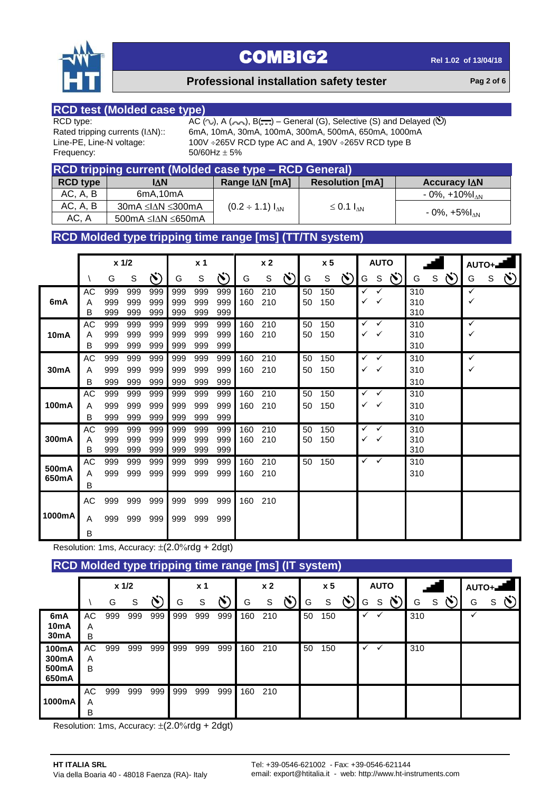

#### **Professional installation safety tester Pag 2** of 6

# **RCD test (Molded case type)**

Frequency:  $50/60$ Hz  $\pm$  5%

RCD type:  $AC (\sim)$ , A  $(\sim)$ , B( $\cdot \cdot$ ) – General (G), Selective (S) and Delayed ( $\circ$ )<br>Rated tripping currents (I $\triangle N$ ):: 6mA, 10mA, 30mA, 100mA, 300mA, 500mA, 650mA, 1000mA Rated tripping currents (IAN):: 6mA, 10mA, 30mA, 100mA, 300mA, 500mA, 650mA, 1000mA<br>Line-PE, Line-N voltage: 100V ÷265V RCD type AC and A, 190V ÷265V RCD type B 100V  $\div$ 265V RCD type AC and A, 190V  $\div$ 265V RCD type B

| RCD tripping current (Molded case type - RCD General) |                                   |                         |                        |                                |  |  |  |  |  |  |
|-------------------------------------------------------|-----------------------------------|-------------------------|------------------------|--------------------------------|--|--|--|--|--|--|
| <b>RCD type</b>                                       | IΔN                               | Range I∆N [mA]          | <b>Resolution [mA]</b> | Accuracy IAN                   |  |  |  |  |  |  |
| AC, A, B                                              | 6mA,10mA                          |                         |                        | $-0\%$ , $+10\%$ <sub>AN</sub> |  |  |  |  |  |  |
| AC, A, B                                              | $30mA \leq  \Delta N  \leq 300mA$ | $(0.2 \div 1.1) I_{AN}$ | $\leq$ 0.1 $I_{AN}$    |                                |  |  |  |  |  |  |
| AC, A                                                 | 500mA ≤I∆N ≤650mA                 |                         |                        | $-0\%$ , $+5\%$ <sub>AN</sub>  |  |  |  |  |  |  |

#### **RCD Molded type tripping time range [ms] (TT/TN system)**

|                   |               |                   | x 1/2             |                   |                   | x <sub>1</sub>    |                   |            | x <sub>2</sub> |               |          | x <sub>5</sub> |               |              | <b>AUTO</b>       |              |                   |              |   | $AUTO +$     |    |
|-------------------|---------------|-------------------|-------------------|-------------------|-------------------|-------------------|-------------------|------------|----------------|---------------|----------|----------------|---------------|--------------|-------------------|--------------|-------------------|--------------|---|--------------|----|
|                   |               | G                 | ${\mathsf S}$     | (Y                | G                 | S                 | $\mathcal{N}$     | G          | S              | $\mathcal{S}$ | G        | S              | $\mathcal{N}$ | G            |                   | $S(\lambda)$ | G                 | $s(\lambda)$ | G | $\mathsf{S}$ | Ö) |
| 6mA               | AC<br>Α<br>в  | 999<br>999<br>999 | 999<br>999<br>999 | 999<br>999<br>999 | 999<br>999<br>999 | 999<br>999<br>999 | 999<br>999<br>999 | 160<br>160 | 210<br>210     |               | 50<br>50 | 150<br>150     |               | ✓            | ✓                 |              | 310<br>310<br>310 |              | ✓ |              |    |
| 10 <sub>m</sub> A | AC<br>A<br>B  | 999<br>999<br>999 | 999<br>999<br>999 | 999<br>999<br>999 | 999<br>999<br>999 | 999<br>999<br>999 | 999<br>999<br>999 | 160<br>160 | 210<br>210     |               | 50<br>50 | 150<br>150     |               | $\checkmark$ | $\checkmark$<br>✓ |              | 310<br>310<br>310 |              | ✓ |              |    |
| 30mA              | AC<br>Α<br>B  | 999<br>999<br>999 | 999<br>999<br>999 | 999<br>999<br>999 | 999<br>999<br>999 | 999<br>999<br>999 | 999<br>999<br>999 | 160<br>160 | 210<br>210     |               | 50<br>50 | 150<br>150     |               | $\checkmark$ | ✓<br>$\checkmark$ |              | 310<br>310<br>310 |              | ✓ |              |    |
| 100mA             | AC<br>A<br>В  | 999<br>999<br>999 | 999<br>999<br>999 | 999<br>999<br>999 | 999<br>999<br>999 | 999<br>999<br>999 | 999<br>999<br>999 | 160<br>160 | 210<br>210     |               | 50<br>50 | 150<br>150     |               | $\checkmark$ | $\checkmark$<br>✓ |              | 310<br>310<br>310 |              |   |              |    |
| 300mA             | AC<br>A<br>В  | 999<br>999<br>999 | 999<br>999<br>999 | 999<br>999<br>999 | 999<br>999<br>999 | 999<br>999<br>999 | 999<br>999<br>999 | 160<br>160 | 210<br>210     |               | 50<br>50 | 150<br>150     |               | $\checkmark$ | ✓                 |              | 310<br>310<br>310 |              |   |              |    |
| 500mA<br>650mA    | AC.<br>A<br>B | 999<br>999        | 999<br>999        | 999<br>999        | 999<br>999        | 999<br>999        | 999<br>999        | 160<br>160 | 210<br>210     |               | 50       | 150            |               | $\checkmark$ | $\checkmark$      |              | 310<br>310        |              |   |              |    |
| 1000mA            | AC<br>A<br>B  | 999<br>999        | 999<br>999        | 999<br>999        | 999<br>999        | 999<br>999        | 999<br>999        | 160        | 210            |               |          |                |               |              |                   |              |                   |              |   |              |    |

Resolution: 1ms, Accuracy:  $\pm$ (2.0%rdg + 2dgt)

#### **RCD Molded type tripping time range [ms] (IT system)**

|                                               |              |     | $x$ 1/2 |     |     | x <sub>1</sub> |     |     | x <sub>2</sub> |               |    | x <sub>5</sub> |    |              | <b>AUTO</b> |        |     |   | AUTO+ |   |  |
|-----------------------------------------------|--------------|-----|---------|-----|-----|----------------|-----|-----|----------------|---------------|----|----------------|----|--------------|-------------|--------|-----|---|-------|---|--|
|                                               |              | G   | S       |     | G   | S              | べ   | G   | S              | $\ddot{\sim}$ | G  | S              | N. | G            | S           | $\sim$ | G   | S | G     | S |  |
| 6mA<br>10 <sub>m</sub> A<br>30 <sub>m</sub> A | AC<br>Α<br>B | 999 | 999     | 999 | 999 | 999            | 999 | 160 | 210            |               | 50 | 150            |    | ✓            |             |        | 310 |   | ✓     |   |  |
| 100mA<br>300mA<br>500mA<br>650mA              | AC<br>A<br>B | 999 | 999     | 999 | 999 | 999            | 999 | 160 | 210            |               | 50 | 150            |    | $\checkmark$ |             |        | 310 |   |       |   |  |
| 1000mA                                        | AC<br>Α<br>В | 999 | 999     | 999 | 999 | 999            | 999 | 160 | 210            |               |    |                |    |              |             |        |     |   |       |   |  |

Resolution: 1ms, Accuracy:  $\pm$ (2.0%rdg + 2dgt)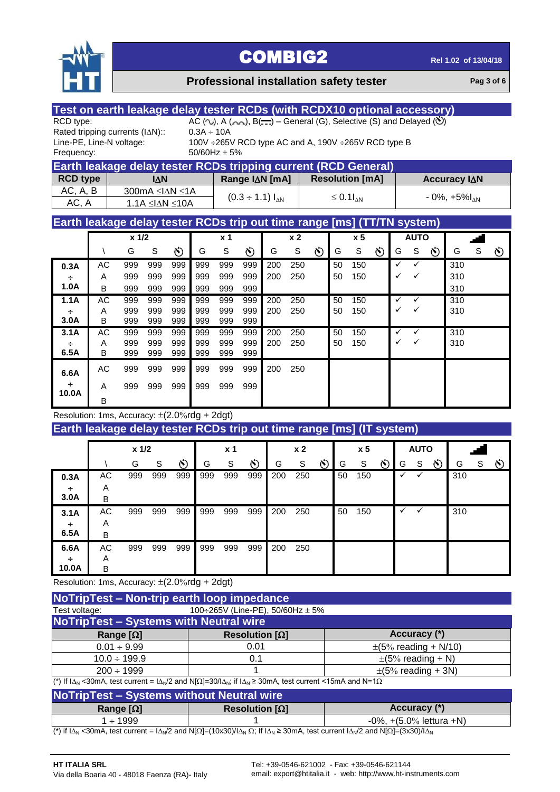

#### **Professional installation safety tester Pag 3** of 6

| Test on earth leakage delay tester RCDs (with RCDX10 optional accessory) |                                                        |            |                               |                |                                                                                                         |                |                               |                |                |                |                        |                        |          |              |             |                |                                      |             |                |
|--------------------------------------------------------------------------|--------------------------------------------------------|------------|-------------------------------|----------------|---------------------------------------------------------------------------------------------------------|----------------|-------------------------------|----------------|----------------|----------------|------------------------|------------------------|----------|--------------|-------------|----------------|--------------------------------------|-------------|----------------|
| RCD type:                                                                |                                                        |            |                               |                | AC $(\sim)$ , A $(\sim)$ , B $(\cdot\cdot\cdot)$ – General (G), Selective (S) and Delayed ( $\bullet$ ) |                |                               |                |                |                |                        |                        |          |              |             |                |                                      |             |                |
| Rated tripping currents (IAN)::                                          |                                                        |            |                               |                | $0.3A \div 10A$                                                                                         |                |                               |                |                |                |                        |                        |          |              |             |                |                                      |             |                |
| Line-PE, Line-N voltage:                                                 |                                                        |            |                               |                | 100V ÷265V RCD type AC and A, 190V ÷265V RCD type B                                                     |                |                               |                |                |                |                        |                        |          |              |             |                |                                      |             |                |
| Frequency:                                                               |                                                        |            |                               |                | 50/60Hz $\pm$ 5%                                                                                        |                |                               |                |                |                |                        |                        |          |              |             |                |                                      |             |                |
| Earth leakage delay tester RCDs tripping current (RCD General)           |                                                        |            |                               |                |                                                                                                         |                |                               |                |                |                |                        |                        |          |              |             |                |                                      |             |                |
| <b>RCD type</b>                                                          |                                                        |            | <b>IAN</b>                    |                |                                                                                                         |                |                               | Range IAN [mA] |                |                |                        | <b>Resolution [mA]</b> |          |              |             |                | Accuracy IAN                         |             |                |
| AC, A, B                                                                 |                                                        |            | 300mA ≤I∆N ≤1A                |                |                                                                                                         |                | $(0.3 \div 1.1) I_{\Delta N}$ |                |                |                | $\leq 0.1I_{\Delta N}$ |                        |          |              |             |                | $-0\%$ , $+5\%$ <sub><i>NN</i></sub> |             |                |
| AC, A                                                                    |                                                        |            | $1.1A \leq \Delta N \leq 10A$ |                |                                                                                                         |                |                               |                |                |                |                        |                        |          |              |             |                |                                      |             |                |
| Earth leakage delay tester RCDs trip out time range [ms] (TT/TN system)  |                                                        |            |                               |                |                                                                                                         |                |                               |                |                |                |                        |                        |          |              |             |                |                                      |             |                |
|                                                                          | x 1/2<br>x <sub>5</sub><br><b>AUTO</b><br>$x^2$<br>x 1 |            |                               |                |                                                                                                         |                |                               |                |                |                |                        |                        |          |              |             |                |                                      |             |                |
|                                                                          | $\setminus$                                            | G          | $\mathbb S$                   | $\ddot{\circ}$ | G                                                                                                       | $\mathbf S$    | $\ddot{\circ}$                | G              | $\mathsf S$    | Ö              | G                      | $\mathsf S$            | Ö        | G            | ${\tt S}$   | $\infty$       | G                                    | $\mathbf S$ | Ö              |
| 0.3A                                                                     | AC                                                     | 999        | 999                           | 999            | 999                                                                                                     | 999            | 999                           | 200            | 250            |                | 50                     | 150                    |          | $\checkmark$ | ✓           |                | 310                                  |             |                |
| ÷                                                                        | A                                                      | 999        | 999                           | 999            | 999                                                                                                     | 999            | 999                           | 200            | 250            |                | 50                     | 150                    |          | ✓            | ✓           |                | 310                                  |             |                |
| 1.0A                                                                     | B                                                      | 999        | 999                           | 999            | 999                                                                                                     | 999            | 999                           |                |                |                |                        |                        |          |              |             |                | 310                                  |             |                |
| 1.1A                                                                     | <b>AC</b>                                              | 999        | 999                           | 999            | 999                                                                                                     | 999            | 999                           | 200            | 250            |                | 50                     | 150                    |          | ✓            | ✓           |                | 310                                  |             |                |
| ÷                                                                        | A                                                      | 999        | 999                           | 999            | 999                                                                                                     | 999            | 999                           | 200            | 250            |                | 50                     | 150                    |          | ✓            |             |                | 310                                  |             |                |
| 3.0A<br>3.1A                                                             | B<br>AC                                                | 999<br>999 | 999<br>999                    | 999<br>999     | 999<br>999                                                                                              | 999<br>999     | 999<br>999                    | 200            | 250            |                | 50                     | 150                    |          | ✓            | ✓           |                | 310                                  |             |                |
| ÷                                                                        | A                                                      | 999        | 999                           | 999            | 999                                                                                                     | 999            | 999                           | 200            | 250            |                | 50                     | 150                    |          | ✓            | ✓           |                | 310                                  |             |                |
| 6.5A                                                                     | B                                                      | 999        | 999                           | 999            | 999                                                                                                     | 999            | 999                           |                |                |                |                        |                        |          |              |             |                |                                      |             |                |
| 6.6A                                                                     | <b>AC</b>                                              | 999        | 999                           | 999            | 999                                                                                                     | 999            | 999                           | 200            | 250            |                |                        |                        |          |              |             |                |                                      |             |                |
| ÷                                                                        | A                                                      | 999        | 999                           | 999            | 999                                                                                                     | 999            | 999                           |                |                |                |                        |                        |          |              |             |                |                                      |             |                |
| 10.0A                                                                    | B                                                      |            |                               |                |                                                                                                         |                |                               |                |                |                |                        |                        |          |              |             |                |                                      |             |                |
| Resolution: 1ms, Accuracy: $\pm$ (2.0%rdg + 2dgt)                        |                                                        |            |                               |                |                                                                                                         |                |                               |                |                |                |                        |                        |          |              |             |                |                                      |             |                |
| Earth leakage delay tester RCDs trip out time range [ms] (IT system)     |                                                        |            |                               |                |                                                                                                         |                |                               |                |                |                |                        |                        |          |              |             |                |                                      |             |                |
|                                                                          |                                                        |            |                               |                |                                                                                                         |                |                               |                |                |                |                        |                        |          |              |             |                |                                      |             |                |
|                                                                          |                                                        | $x$ 1/2    |                               |                |                                                                                                         | x <sub>1</sub> |                               |                | x <sub>2</sub> |                |                        | x <sub>5</sub>         |          |              | <b>AUTO</b> |                |                                      |             |                |
|                                                                          |                                                        | G          | S                             | S)             | G                                                                                                       | $\mathsf S$    | Ö)                            | G              | $\mathbb S$    | $\ddot{\circ}$ | G                      | S                      | $\infty$ | G            | S           | $\ddot{\circ}$ | G                                    | S           | $\ddot{\circ}$ |
| 0.3A                                                                     | <b>AC</b>                                              | 999        | 999                           | 999            | 999                                                                                                     | 999            | 999                           | 200            | 250            |                | 50                     | 150                    |          |              |             |                | 310                                  |             |                |
| ÷                                                                        | Α                                                      |            |                               |                |                                                                                                         |                |                               |                |                |                |                        |                        |          |              |             |                |                                      |             |                |
| 3.0A                                                                     | B                                                      |            |                               |                |                                                                                                         |                |                               |                |                |                |                        |                        |          |              |             |                |                                      |             |                |
| 3.1A                                                                     | <b>AC</b>                                              | 999        | 999                           | 999            | 999                                                                                                     | 999            | 999                           | 200            | 250            |                | 50                     | 150                    |          | $\checkmark$ | ✓           |                | 310                                  |             |                |
| ÷<br>6.5A                                                                | Α<br>B                                                 |            |                               |                |                                                                                                         |                |                               |                |                |                |                        |                        |          |              |             |                |                                      |             |                |
| 6.6A                                                                     | AC                                                     | 999        | 999                           | 999            | 999                                                                                                     | 999            | 999                           | 200            | 250            |                |                        |                        |          |              |             |                |                                      |             |                |
| ÷                                                                        | A                                                      |            |                               |                |                                                                                                         |                |                               |                |                |                |                        |                        |          |              |             |                |                                      |             |                |
| 10.0A                                                                    | B                                                      |            |                               |                |                                                                                                         |                |                               |                |                |                |                        |                        |          |              |             |                |                                      |             |                |
| Resolution: 1ms, Accuracy: $\pm$ (2.0%rdg + 2dgt)                        |                                                        |            |                               |                |                                                                                                         |                |                               |                |                |                |                        |                        |          |              |             |                |                                      |             |                |

**NoTripTest – Non-trip earth loop impedance** Test voltage:  $100 \div 265V$  (Line-PE),  $50/60Hz \pm 5%$ **NoTripTest – Systems with Neutral wire Range [] Resolution [] Accuracy (\*)**  $0.01 \div 9.99$  0.01  $\pm (5\% \text{ reading } + \text{ N/10})$  $10.0 \div 199.9$  0.1  $\pm (5\% \text{ reading } + \text{ N})$  $200 \div 1999$  1 1  $\pm (5\% \text{ reading } + 3\text{N})$ 

(\*) If  $I\Delta_N$  <30mA, test current =  $I\Delta_N/2$  and N[ $\Omega$ ]=30/ $I\Delta_N$ ; if  $I\Delta_N \ge 30$ mA, test current <15mA and N=1 $\Omega$ 

| <b>NoTripTest - Systems without Neutral wire</b>          |  |  |  |  |  |  |  |  |  |
|-----------------------------------------------------------|--|--|--|--|--|--|--|--|--|
| Accuracy (*)<br>Resolution $[\Omega]$<br>Range $[\Omega]$ |  |  |  |  |  |  |  |  |  |
| $-0\%$ , $+(5.0\%$ lettura $+N$ )<br>1 ÷ 1999             |  |  |  |  |  |  |  |  |  |

(\*) if  $1\Delta_N$  <30mA, test current =  $1\Delta_N/2$  and N[ $\Omega$ ]=(10x30)/ $1\Delta_N \Omega$ ; If  $1\Delta_N \ge 30$ mA, test current  $1\Delta_N/2$  and N[ $\Omega$ ]=(3x30)/ $1\Delta_N$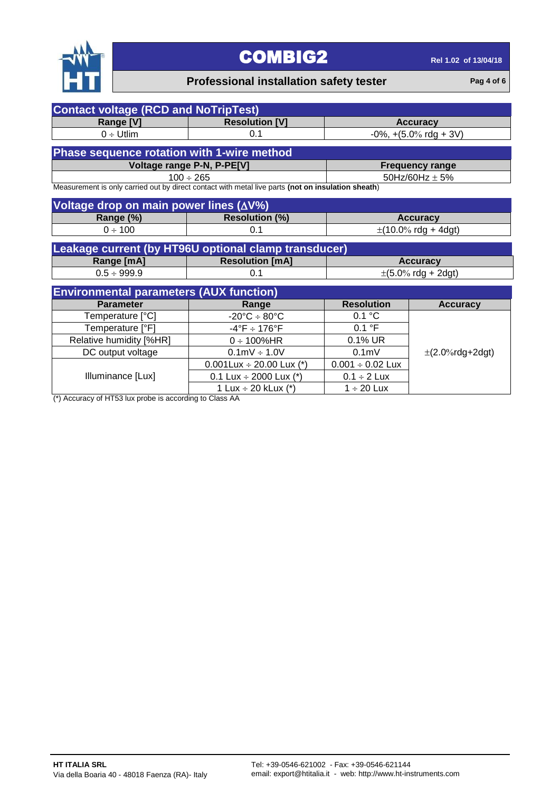

### **Professional installation safety tester Pag 4** of 6

| <b>Contact voltage (RCD and NoTripTest)</b>       |                                                                                                    |                                             |                                          |  |  |  |  |  |  |  |  |  |
|---------------------------------------------------|----------------------------------------------------------------------------------------------------|---------------------------------------------|------------------------------------------|--|--|--|--|--|--|--|--|--|
| Range [V]                                         | <b>Resolution [V]</b>                                                                              |                                             | <b>Accuracy</b>                          |  |  |  |  |  |  |  |  |  |
| $0 \div \text{Utlim}$                             | 0.1                                                                                                | $-0\%$ , $+(5.0\% \text{ rdg} + 3\text{V})$ |                                          |  |  |  |  |  |  |  |  |  |
| <b>Phase sequence rotation with 1-wire method</b> |                                                                                                    |                                             |                                          |  |  |  |  |  |  |  |  |  |
|                                                   | Voltage range P-N, P-PE[V]<br><b>Frequency range</b>                                               |                                             |                                          |  |  |  |  |  |  |  |  |  |
| $100 \div 265$                                    |                                                                                                    | 50Hz/60Hz $\pm$ 5%                          |                                          |  |  |  |  |  |  |  |  |  |
|                                                   | Measurement is only carried out by direct contact with metal live parts (not on insulation sheath) |                                             |                                          |  |  |  |  |  |  |  |  |  |
| Voltage drop on main power lines (∆V%)            |                                                                                                    |                                             |                                          |  |  |  |  |  |  |  |  |  |
| Range (%)                                         | <b>Resolution (%)</b>                                                                              |                                             |                                          |  |  |  |  |  |  |  |  |  |
|                                                   | 0.1                                                                                                |                                             | <b>Accuracy</b>                          |  |  |  |  |  |  |  |  |  |
| $0 \div 100$                                      |                                                                                                    |                                             | $\pm$ (10.0% rdg + 4dgt)                 |  |  |  |  |  |  |  |  |  |
|                                                   | Leakage current (by HT96U optional clamp transducer)                                               |                                             |                                          |  |  |  |  |  |  |  |  |  |
| Range [mA]                                        | <b>Resolution [mA]</b>                                                                             |                                             | <b>Accuracy</b>                          |  |  |  |  |  |  |  |  |  |
| $0.5 \div 999.9$                                  | 0.1                                                                                                |                                             | $\pm (5.0\% \text{ rdg} + 2 \text{dg}t)$ |  |  |  |  |  |  |  |  |  |
| <b>Environmental parameters (AUX function)</b>    |                                                                                                    |                                             |                                          |  |  |  |  |  |  |  |  |  |
| <b>Parameter</b>                                  | Range                                                                                              | <b>Resolution</b>                           | <b>Accuracy</b>                          |  |  |  |  |  |  |  |  |  |
| Temperature [°C]                                  | $-20^{\circ}$ C $\div$ 80 $^{\circ}$ C                                                             | 0.1 °C                                      |                                          |  |  |  |  |  |  |  |  |  |
| Temperature [°F]                                  | $-4^{\circ}$ F $\div$ 176°F                                                                        | 0.1 °F                                      |                                          |  |  |  |  |  |  |  |  |  |
| Relative humidity [%HR]                           | $0 \div 100\%$ HR                                                                                  | $0.1\%$ UR                                  |                                          |  |  |  |  |  |  |  |  |  |
| DC output voltage                                 | $0.1 \text{mV} \div 1.0 \text{V}$                                                                  | 0.1 <sub>m</sub>                            | $\pm$ (2.0%rdg+2dgt)                     |  |  |  |  |  |  |  |  |  |
|                                                   | 0.001Lux $\div$ 20.00 Lux (*)                                                                      | $0.001 \div 0.02$ Lux                       |                                          |  |  |  |  |  |  |  |  |  |
| Illuminance [Lux]                                 | 0.1 Lux $\div$ 2000 Lux (*)                                                                        | $0.1 \div 2$ Lux                            |                                          |  |  |  |  |  |  |  |  |  |
|                                                   | 1 Lux $\div$ 20 kLux (*)                                                                           | $1 \div 20$ Lux                             |                                          |  |  |  |  |  |  |  |  |  |

(\*) Accuracy of HT53 lux probe is according to Class AA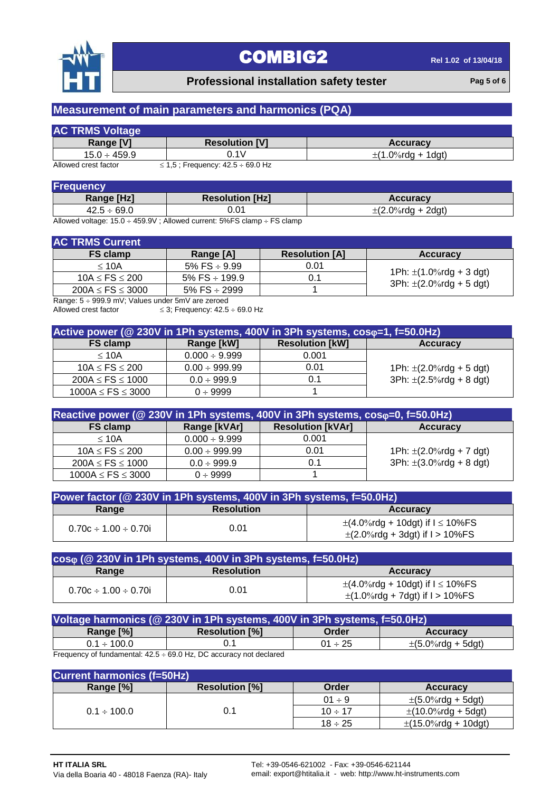

#### **Professional installation safety tester Pag 5** of 6

### **Measurement of main parameters and harmonics (PQA)**

| <b>AC TRMS Voltage</b> |                               |                        |
|------------------------|-------------------------------|------------------------|
| <b>Range IVI</b>       | <b>Resolution [V]</b>         | <b>Accuracy</b>        |
| $15.0 \div 459.9$      | J.1V                          | $\pm$ (1.0%rda + 1dat) |
| Allanced and at factor | $245.$ Functional $495.$ COOL |                        |

Allowed crest factor  $\leq 1.5$ ; Frequency:  $42.5 \div 69.0$  Hz

| Frequency        |                        |                        |
|------------------|------------------------|------------------------|
| Range [Hz]       | <b>Resolution [Hz]</b> | <b>Accuracy</b>        |
| $42.5 \div 69.0$ | 01.(                   | $\pm$ (2.0%rda + 2dat) |

Allowed voltage:  $15.0 \div 459.9V$ ; Allowed current:  $5\%$ FS clamp  $\div$  FS clamp

#### **AC TRMS Current**

| AV TIMO VAII GIIL      |                       |                       |                              |
|------------------------|-----------------------|-----------------------|------------------------------|
| <b>FS clamp</b>        | Range [A]             | <b>Resolution [A]</b> | <b>Accuracy</b>              |
| < 10A                  | 5% FS $\div$ 9.99     | 0.01                  |                              |
| $10A \le FS \le 200$   | $5\%$ FS $\div$ 199.9 | 0.1                   | 1Ph: $\pm$ (1.0%rdg + 3 dgt) |
| $200A \le FS \le 3000$ | 5% FS $\div$ 2999     |                       | 3Ph: $\pm$ (2.0%rdg + 5 dgt) |
|                        |                       |                       |                              |

Range:  $5 \div 999.9$  mV; Values under 5mV are zeroed<br>Allowed crest factor  $\leq 3$ ; Frequency: 42.5

 $\leq$  3; Frequency: 42.5  $\div$  69.0 Hz

| Active power (@ 230V in 1Ph systems, 400V in 3Ph systems, coso=1, f=50.0Hz) |                    |                        |                              |
|-----------------------------------------------------------------------------|--------------------|------------------------|------------------------------|
| <b>FS clamp</b>                                                             | Range [kW]         | <b>Resolution [kW]</b> | Accuracy                     |
| < 10A                                                                       | $0.000 \div 9.999$ | 0.001                  |                              |
| $10A \le FS \le 200$                                                        | $0.00 \div 999.99$ | 0.01                   | 1Ph: $\pm$ (2.0%rdg + 5 dgt) |
| $200A \le FS \le 1000$                                                      | $0.0 \div 999.9$   | 0.1                    | 3Ph: $\pm$ (2.5%rdg + 8 dgt) |
| $1000A \le FS \le 3000$                                                     | $0 \div 9999$      |                        |                              |

| Reactive power (@ 230V in 1Ph systems, 400V in 3Ph systems, coso=0, f=50.0Hz) |                    |                          |                              |
|-------------------------------------------------------------------------------|--------------------|--------------------------|------------------------------|
| <b>FS clamp</b>                                                               | Range [kVAr]       | <b>Resolution [kVAr]</b> | <b>Accuracy</b>              |
| < 10A                                                                         | $0.000 \div 9.999$ | 0.001                    |                              |
| $10A \le FS \le 200$                                                          | $0.00 \div 999.99$ | 0.01                     | 1Ph: $\pm$ (2.0%rdg + 7 dgt) |
| $200A \le FS \le 1000$                                                        | $0.0 \div 999.9$   | 0.1                      | 3Ph: $\pm$ (3.0%rdg + 8 dgt) |
| $1000A \le FS \le 3000$                                                       | $0 \div 9999$      |                          |                              |

| Power factor (@ 230V in 1Ph systems, 400V in 3Ph systems, f=50.0Hz) |                   |                                                                                  |
|---------------------------------------------------------------------|-------------------|----------------------------------------------------------------------------------|
| Range                                                               | <b>Resolution</b> | <b>Accuracy</b>                                                                  |
| $0.70c \div 1.00 \div 0.70i$                                        | 0.01              | $\pm$ (4.0%rdg + 10dgt) if I $\leq$ 10%FS<br>$\pm$ (2.0%rdg + 3dgt) if I > 10%FS |

| $cos\varphi$ ( $\oslash$ 230V in 1Ph systems, 400V in 3Ph systems, f=50.0Hz) |                   |                                                                                   |
|------------------------------------------------------------------------------|-------------------|-----------------------------------------------------------------------------------|
| Range                                                                        | <b>Resolution</b> | <b>Accuracy</b>                                                                   |
| $0.70c \div 1.00 \div 0.70i$                                                 | 0.01              | $\pm$ (4.0%rdg + 10dgt) if $I \le 10\%$ FS<br>$\pm$ (1.0%rdg + 7dgt) if I > 10%FS |

| Voltage harmonics (@ 230V in 1Ph systems, 400V in 3Ph systems, f=50.0Hz) |                                                         |              |                          |
|--------------------------------------------------------------------------|---------------------------------------------------------|--------------|--------------------------|
| Range [%]                                                                | <b>Resolution [%]</b>                                   | Order        | <b>Accuracy</b>          |
| $0.1 \div 100.0$                                                         |                                                         | $01 \div 25$ | $\pm (5.0\%$ rdg + 5dgt) |
|                                                                          | $\sim$ $\sim$ $\sim$ $\sim$ $\sim$ $\sim$ $\sim$ $\sim$ |              |                          |

Frequency of fundamental:  $42.5 \div 69.0$  Hz, DC accuracy not declared

| <b>Current harmonics (f=50Hz)</b> |                       |              |                                          |
|-----------------------------------|-----------------------|--------------|------------------------------------------|
| Range [%]                         | <b>Resolution [%]</b> | Order        | <b>Accuracy</b>                          |
|                                   |                       | $01 \div 9$  | $\pm$ (5.0%rdg + 5dgt)                   |
| $0.1 \div 100.0$                  | 0.1                   | $10 \div 17$ | $\pm(10.0\%$ rdg + 5dgt)                 |
|                                   |                       | $18 \div 25$ | $\pm(15.0\% \text{rdg} + 10 \text{dgt})$ |